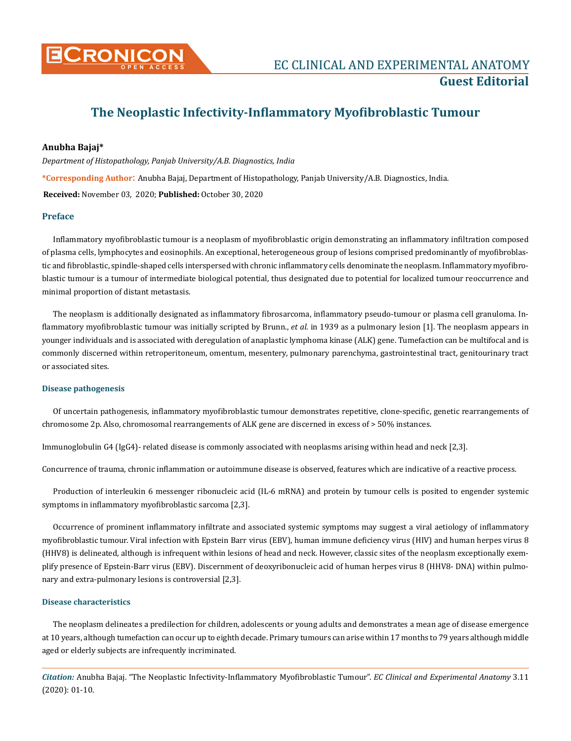

# **The Neoplastic Infectivity-Inflammatory Myofibroblastic Tumour**

# **Anubha Bajaj\***

*Department of Histopathology, Panjab University/A.B. Diagnostics, India*

**\*Corresponding Author**: Anubha Bajaj, Department of Histopathology, Panjab University/A.B. Diagnostics, India.

**Received:** November 03, 2020; **Published:** October 30, 2020

## **Preface**

Inflammatory myofibroblastic tumour is a neoplasm of myofibroblastic origin demonstrating an inflammatory infiltration composed of plasma cells, lymphocytes and eosinophils. An exceptional, heterogeneous group of lesions comprised predominantly of myofibroblastic and fibroblastic, spindle-shaped cells interspersed with chronic inflammatory cells denominate the neoplasm. Inflammatory myofibroblastic tumour is a tumour of intermediate biological potential, thus designated due to potential for localized tumour reoccurrence and minimal proportion of distant metastasis.

The neoplasm is additionally designated as inflammatory fibrosarcoma, inflammatory pseudo-tumour or plasma cell granuloma. Inflammatory myofibroblastic tumour was initially scripted by Brunn., *et al*. in 1939 as a pulmonary lesion [1]. The neoplasm appears in younger individuals and is associated with deregulation of anaplastic lymphoma kinase (ALK) gene. Tumefaction can be multifocal and is commonly discerned within retroperitoneum, omentum, mesentery, pulmonary parenchyma, gastrointestinal tract, genitourinary tract or associated sites.

#### **Disease pathogenesis**

Of uncertain pathogenesis, inflammatory myofibroblastic tumour demonstrates repetitive, clone-specific, genetic rearrangements of chromosome 2p. Also, chromosomal rearrangements of ALK gene are discerned in excess of > 50% instances.

Immunoglobulin G4 (IgG4)- related disease is commonly associated with neoplasms arising within head and neck [2,3].

Concurrence of trauma, chronic inflammation or autoimmune disease is observed, features which are indicative of a reactive process.

Production of interleukin 6 messenger ribonucleic acid (IL-6 mRNA) and protein by tumour cells is posited to engender systemic symptoms in inflammatory myofibroblastic sarcoma [2,3].

Occurrence of prominent inflammatory infiltrate and associated systemic symptoms may suggest a viral aetiology of inflammatory myofibroblastic tumour. Viral infection with Epstein Barr virus (EBV), human immune deficiency virus (HIV) and human herpes virus 8 (HHV8) is delineated, although is infrequent within lesions of head and neck. However, classic sites of the neoplasm exceptionally exemplify presence of Epstein-Barr virus (EBV). Discernment of deoxyribonucleic acid of human herpes virus 8 (HHV8- DNA) within pulmonary and extra-pulmonary lesions is controversial [2,3].

### **Disease characteristics**

The neoplasm delineates a predilection for children, adolescents or young adults and demonstrates a mean age of disease emergence at 10 years, although tumefaction can occur up to eighth decade. Primary tumours can arise within 17 months to 79 years although middle aged or elderly subjects are infrequently incriminated.

*Citation:* Anubha Bajaj. "The Neoplastic Infectivity-Inflammatory Myofibroblastic Tumour". *EC Clinical and Experimental Anatomy* 3.11 (2020): 01-10.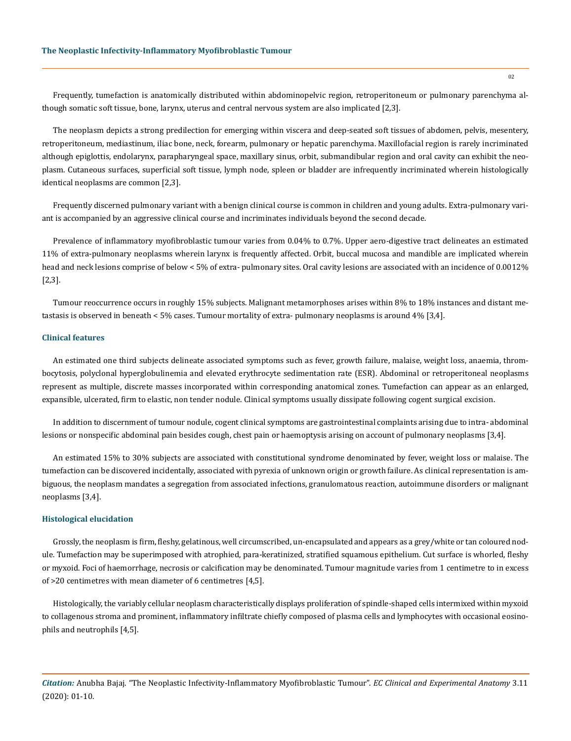Frequently, tumefaction is anatomically distributed within abdominopelvic region, retroperitoneum or pulmonary parenchyma although somatic soft tissue, bone, larynx, uterus and central nervous system are also implicated [2,3].

The neoplasm depicts a strong predilection for emerging within viscera and deep-seated soft tissues of abdomen, pelvis, mesentery, retroperitoneum, mediastinum, iliac bone, neck, forearm, pulmonary or hepatic parenchyma. Maxillofacial region is rarely incriminated although epiglottis, endolarynx, parapharyngeal space, maxillary sinus, orbit, submandibular region and oral cavity can exhibit the neoplasm. Cutaneous surfaces, superficial soft tissue, lymph node, spleen or bladder are infrequently incriminated wherein histologically identical neoplasms are common [2,3].

Frequently discerned pulmonary variant with a benign clinical course is common in children and young adults. Extra-pulmonary variant is accompanied by an aggressive clinical course and incriminates individuals beyond the second decade.

Prevalence of inflammatory myofibroblastic tumour varies from 0.04% to 0.7%. Upper aero-digestive tract delineates an estimated 11% of extra-pulmonary neoplasms wherein larynx is frequently affected. Orbit, buccal mucosa and mandible are implicated wherein head and neck lesions comprise of below < 5% of extra- pulmonary sites. Oral cavity lesions are associated with an incidence of 0.0012% [2,3].

Tumour reoccurrence occurs in roughly 15% subjects. Malignant metamorphoses arises within 8% to 18% instances and distant metastasis is observed in beneath < 5% cases. Tumour mortality of extra- pulmonary neoplasms is around 4% [3,4].

# **Clinical features**

An estimated one third subjects delineate associated symptoms such as fever, growth failure, malaise, weight loss, anaemia, thrombocytosis, polyclonal hyperglobulinemia and elevated erythrocyte sedimentation rate (ESR). Abdominal or retroperitoneal neoplasms represent as multiple, discrete masses incorporated within corresponding anatomical zones. Tumefaction can appear as an enlarged, expansible, ulcerated, firm to elastic, non tender nodule. Clinical symptoms usually dissipate following cogent surgical excision.

In addition to discernment of tumour nodule, cogent clinical symptoms are gastrointestinal complaints arising due to intra- abdominal lesions or nonspecific abdominal pain besides cough, chest pain or haemoptysis arising on account of pulmonary neoplasms [3,4].

An estimated 15% to 30% subjects are associated with constitutional syndrome denominated by fever, weight loss or malaise. The tumefaction can be discovered incidentally, associated with pyrexia of unknown origin or growth failure. As clinical representation is ambiguous, the neoplasm mandates a segregation from associated infections, granulomatous reaction, autoimmune disorders or malignant neoplasms [3,4].

#### **Histological elucidation**

Grossly, the neoplasm is firm, fleshy, gelatinous, well circumscribed, un-encapsulated and appears as a grey/white or tan coloured nodule. Tumefaction may be superimposed with atrophied, para-keratinized, stratified squamous epithelium. Cut surface is whorled, fleshy or myxoid. Foci of haemorrhage, necrosis or calcification may be denominated. Tumour magnitude varies from 1 centimetre to in excess of >20 centimetres with mean diameter of 6 centimetres [4,5].

Histologically, the variably cellular neoplasm characteristically displays proliferation of spindle-shaped cells intermixed within myxoid to collagenous stroma and prominent, inflammatory infiltrate chiefly composed of plasma cells and lymphocytes with occasional eosinophils and neutrophils [4,5].

*Citation:* Anubha Bajaj. "The Neoplastic Infectivity-Inflammatory Myofibroblastic Tumour". *EC Clinical and Experimental Anatomy* 3.11 (2020): 01-10.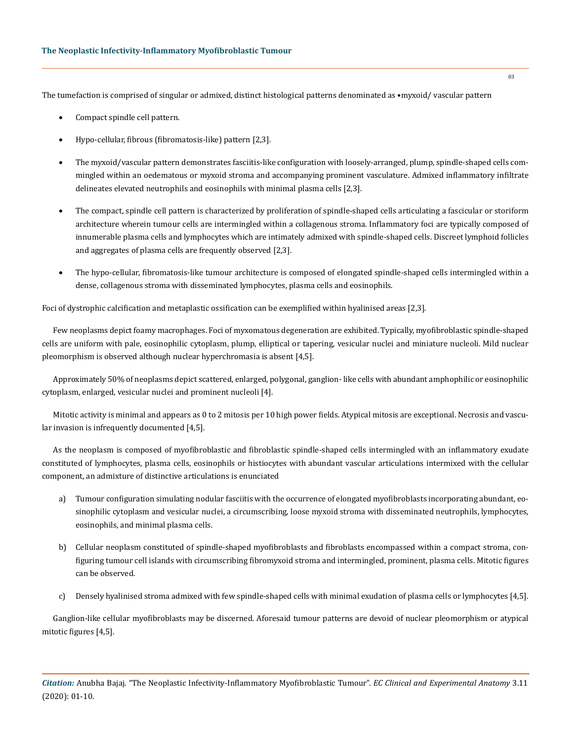The tumefaction is comprised of singular or admixed, distinct histological patterns denominated as •myxoid/ vascular pattern

- Compact spindle cell pattern.
- Hypo-cellular, fibrous (fibromatosis-like) pattern [2,3].
- The myxoid/vascular pattern demonstrates fasciitis-like configuration with loosely-arranged, plump, spindle-shaped cells commingled within an oedematous or myxoid stroma and accompanying prominent vasculature. Admixed inflammatory infiltrate delineates elevated neutrophils and eosinophils with minimal plasma cells [2,3].
- The compact, spindle cell pattern is characterized by proliferation of spindle-shaped cells articulating a fascicular or storiform architecture wherein tumour cells are intermingled within a collagenous stroma. Inflammatory foci are typically composed of innumerable plasma cells and lymphocytes which are intimately admixed with spindle-shaped cells. Discreet lymphoid follicles and aggregates of plasma cells are frequently observed [2,3].
- The hypo-cellular, fibromatosis-like tumour architecture is composed of elongated spindle-shaped cells intermingled within a dense, collagenous stroma with disseminated lymphocytes, plasma cells and eosinophils.

Foci of dystrophic calcification and metaplastic ossification can be exemplified within hyalinised areas [2,3].

Few neoplasms depict foamy macrophages. Foci of myxomatous degeneration are exhibited. Typically, myofibroblastic spindle-shaped cells are uniform with pale, eosinophilic cytoplasm, plump, elliptical or tapering, vesicular nuclei and miniature nucleoli. Mild nuclear pleomorphism is observed although nuclear hyperchromasia is absent [4,5].

Approximately 50% of neoplasms depict scattered, enlarged, polygonal, ganglion- like cells with abundant amphophilic or eosinophilic cytoplasm, enlarged, vesicular nuclei and prominent nucleoli [4].

Mitotic activity is minimal and appears as 0 to 2 mitosis per 10 high power fields. Atypical mitosis are exceptional. Necrosis and vascular invasion is infrequently documented [4,5].

As the neoplasm is composed of myofibroblastic and fibroblastic spindle-shaped cells intermingled with an inflammatory exudate constituted of lymphocytes, plasma cells, eosinophils or histiocytes with abundant vascular articulations intermixed with the cellular component, an admixture of distinctive articulations is enunciated

- a) Tumour configuration simulating nodular fasciitis with the occurrence of elongated myofibroblasts incorporating abundant, eosinophilic cytoplasm and vesicular nuclei, a circumscribing, loose myxoid stroma with disseminated neutrophils, lymphocytes, eosinophils, and minimal plasma cells.
- b) Cellular neoplasm constituted of spindle-shaped myofibroblasts and fibroblasts encompassed within a compact stroma, configuring tumour cell islands with circumscribing fibromyxoid stroma and intermingled, prominent, plasma cells. Mitotic figures can be observed.
- c) Densely hyalinised stroma admixed with few spindle-shaped cells with minimal exudation of plasma cells or lymphocytes [4,5].

Ganglion-like cellular myofibroblasts may be discerned. Aforesaid tumour patterns are devoid of nuclear pleomorphism or atypical mitotic figures [4,5].

*Citation:* Anubha Bajaj. "The Neoplastic Infectivity-Inflammatory Myofibroblastic Tumour". *EC Clinical and Experimental Anatomy* 3.11 (2020): 01-10.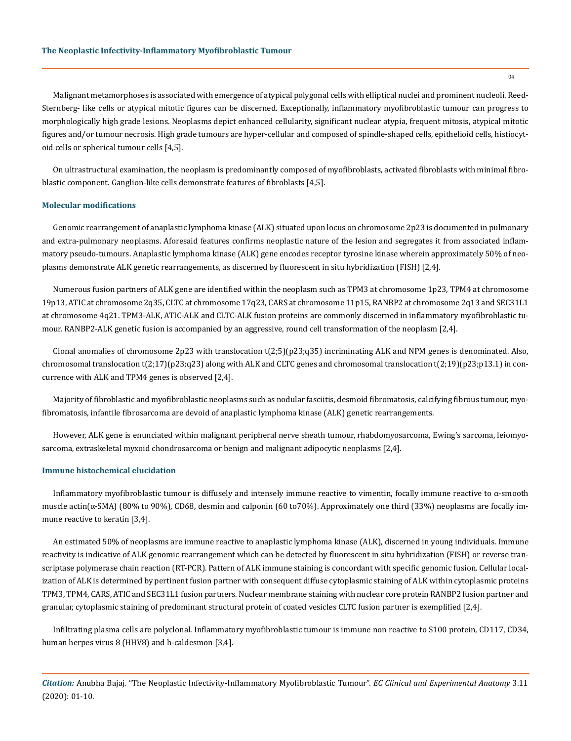Malignant metamorphoses is associated with emergence of atypical polygonal cells with elliptical nuclei and prominent nucleoli. Reed-Sternberg- like cells or atypical mitotic figures can be discerned. Exceptionally, inflammatory myofibroblastic tumour can progress to morphologically high grade lesions. Neoplasms depict enhanced cellularity, significant nuclear atypia, frequent mitosis, atypical mitotic figures and/or tumour necrosis. High grade tumours are hyper-cellular and composed of spindle-shaped cells, epithelioid cells, histiocytoid cells or spherical tumour cells [4,5].

On ultrastructural examination, the neoplasm is predominantly composed of myofibroblasts, activated fibroblasts with minimal fibroblastic component. Ganglion-like cells demonstrate features of fibroblasts [4,5].

## **Molecular modifications**

Genomic rearrangement of anaplastic lymphoma kinase (ALK) situated upon locus on chromosome 2p23 is documented in pulmonary and extra-pulmonary neoplasms. Aforesaid features confirms neoplastic nature of the lesion and segregates it from associated inflammatory pseudo-tumours. Anaplastic lymphoma kinase (ALK) gene encodes receptor tyrosine kinase wherein approximately 50% of neoplasms demonstrate ALK genetic rearrangements, as discerned by fluorescent in situ hybridization (FISH) [2,4].

Numerous fusion partners of ALK gene are identified within the neoplasm such as TPM3 at chromosome 1p23, TPM4 at chromosome 19p13, ATIC at chromosome 2q35, CLTC at chromosome 17q23, CARS at chromosome 11p15, RANBP2 at chromosome 2q13 and SEC31L1 at chromosome 4q21. TPM3-ALK, ATIC-ALK and CLTC-ALK fusion proteins are commonly discerned in inflammatory myofibroblastic tumour. RANBP2-ALK genetic fusion is accompanied by an aggressive, round cell transformation of the neoplasm [2,4].

Clonal anomalies of chromosome 2p23 with translocation t(2;5)(p23;q35) incriminating ALK and NPM genes is denominated. Also, chromosomal translocation t(2;17)(p23;q23) along with ALK and CLTC genes and chromosomal translocation t(2;19)(p23;p13.1) in concurrence with ALK and TPM4 genes is observed [2,4].

Majority of fibroblastic and myofibroblastic neoplasms such as nodular fasciitis, desmoid fibromatosis, calcifying fibrous tumour, myofibromatosis, infantile fibrosarcoma are devoid of anaplastic lymphoma kinase (ALK) genetic rearrangements.

However, ALK gene is enunciated within malignant peripheral nerve sheath tumour, rhabdomyosarcoma, Ewing's sarcoma, leiomyosarcoma, extraskeletal myxoid chondrosarcoma or benign and malignant adipocytic neoplasms [2,4].

#### **Immune histochemical elucidation**

Inflammatory myofibroblastic tumour is diffusely and intensely immune reactive to vimentin, focally immune reactive to  $\alpha$ -smooth muscle actin(α-SMA) (80% to 90%), CD68, desmin and calponin (60 to70%). Approximately one third (33%) neoplasms are focally immune reactive to keratin [3,4].

An estimated 50% of neoplasms are immune reactive to anaplastic lymphoma kinase (ALK), discerned in young individuals. Immune reactivity is indicative of ALK genomic rearrangement which can be detected by fluorescent in situ hybridization (FISH) or reverse transcriptase polymerase chain reaction (RT-PCR). Pattern of ALK immune staining is concordant with specific genomic fusion. Cellular localization of ALK is determined by pertinent fusion partner with consequent diffuse cytoplasmic staining of ALK within cytoplasmic proteins TPM3, TPM4, CARS, ATIC and SEC31L1 fusion partners. Nuclear membrane staining with nuclear core protein RANBP2 fusion partner and granular, cytoplasmic staining of predominant structural protein of coated vesicles CLTC fusion partner is exemplified [2,4].

Infiltrating plasma cells are polyclonal. Inflammatory myofibroblastic tumour is immune non reactive to S100 protein, CD117, CD34, human herpes virus 8 (HHV8) and h-caldesmon [3,4].

*Citation:* Anubha Bajaj. "The Neoplastic Infectivity-Inflammatory Myofibroblastic Tumour". *EC Clinical and Experimental Anatomy* 3.11 (2020): 01-10.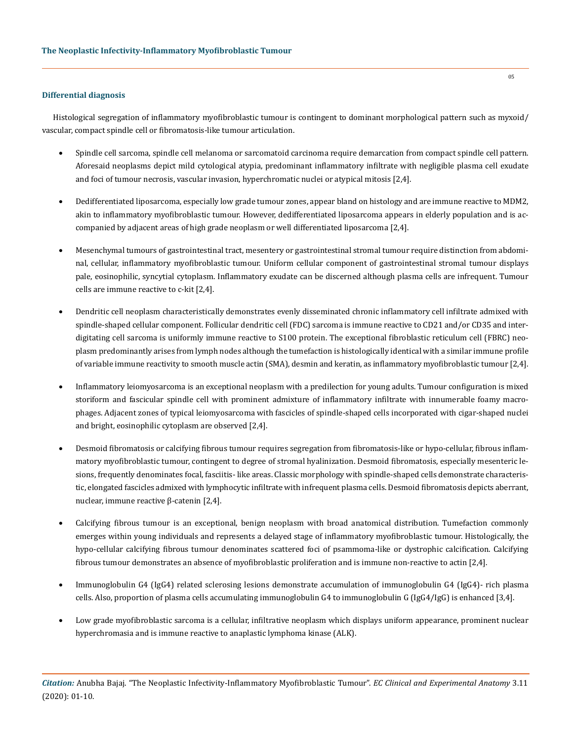# **Differential diagnosis**

Histological segregation of inflammatory myofibroblastic tumour is contingent to dominant morphological pattern such as myxoid/ vascular, compact spindle cell or fibromatosis-like tumour articulation.

- Spindle cell sarcoma, spindle cell melanoma or sarcomatoid carcinoma require demarcation from compact spindle cell pattern. Aforesaid neoplasms depict mild cytological atypia, predominant inflammatory infiltrate with negligible plasma cell exudate and foci of tumour necrosis, vascular invasion, hyperchromatic nuclei or atypical mitosis [2,4].
- Dedifferentiated liposarcoma, especially low grade tumour zones, appear bland on histology and are immune reactive to MDM2, akin to inflammatory myofibroblastic tumour. However, dedifferentiated liposarcoma appears in elderly population and is accompanied by adjacent areas of high grade neoplasm or well differentiated liposarcoma [2,4].
- Mesenchymal tumours of gastrointestinal tract, mesentery or gastrointestinal stromal tumour require distinction from abdominal, cellular, inflammatory myofibroblastic tumour. Uniform cellular component of gastrointestinal stromal tumour displays pale, eosinophilic, syncytial cytoplasm. Inflammatory exudate can be discerned although plasma cells are infrequent. Tumour cells are immune reactive to c-kit [2,4].
- Dendritic cell neoplasm characteristically demonstrates evenly disseminated chronic inflammatory cell infiltrate admixed with spindle-shaped cellular component. Follicular dendritic cell (FDC) sarcoma is immune reactive to CD21 and/or CD35 and interdigitating cell sarcoma is uniformly immune reactive to S100 protein. The exceptional fibroblastic reticulum cell (FBRC) neoplasm predominantly arises from lymph nodes although the tumefaction is histologically identical with a similar immune profile of variable immune reactivity to smooth muscle actin (SMA), desmin and keratin, as inflammatory myofibroblastic tumour [2,4].
- Inflammatory leiomyosarcoma is an exceptional neoplasm with a predilection for young adults. Tumour configuration is mixed storiform and fascicular spindle cell with prominent admixture of inflammatory infiltrate with innumerable foamy macrophages. Adjacent zones of typical leiomyosarcoma with fascicles of spindle-shaped cells incorporated with cigar-shaped nuclei and bright, eosinophilic cytoplasm are observed [2,4].
- Desmoid fibromatosis or calcifying fibrous tumour requires segregation from fibromatosis-like or hypo-cellular, fibrous inflammatory myofibroblastic tumour, contingent to degree of stromal hyalinization. Desmoid fibromatosis, especially mesenteric lesions, frequently denominates focal, fasciitis- like areas. Classic morphology with spindle-shaped cells demonstrate characteristic, elongated fascicles admixed with lymphocytic infiltrate with infrequent plasma cells. Desmoid fibromatosis depicts aberrant, nuclear, immune reactive β-catenin [2,4].
- Calcifying fibrous tumour is an exceptional, benign neoplasm with broad anatomical distribution. Tumefaction commonly emerges within young individuals and represents a delayed stage of inflammatory myofibroblastic tumour. Histologically, the hypo-cellular calcifying fibrous tumour denominates scattered foci of psammoma-like or dystrophic calcification. Calcifying fibrous tumour demonstrates an absence of myofibroblastic proliferation and is immune non-reactive to actin [2,4].
- Immunoglobulin G4 (IgG4) related sclerosing lesions demonstrate accumulation of immunoglobulin G4 (IgG4)- rich plasma cells. Also, proportion of plasma cells accumulating immunoglobulin G4 to immunoglobulin G (IgG4/IgG) is enhanced [3,4].
- Low grade myofibroblastic sarcoma is a cellular, infiltrative neoplasm which displays uniform appearance, prominent nuclear hyperchromasia and is immune reactive to anaplastic lymphoma kinase (ALK).

*Citation:* Anubha Bajaj. "The Neoplastic Infectivity-Inflammatory Myofibroblastic Tumour". *EC Clinical and Experimental Anatomy* 3.11 (2020): 01-10.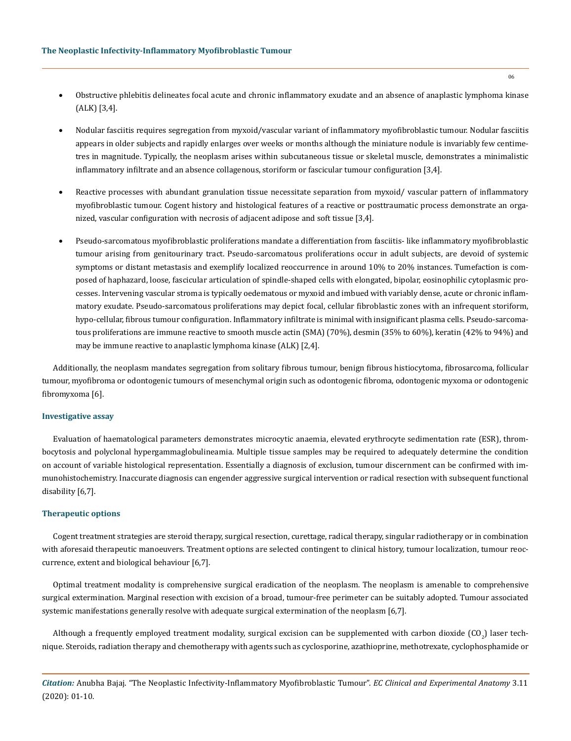- Obstructive phlebitis delineates focal acute and chronic inflammatory exudate and an absence of anaplastic lymphoma kinase (ALK) [3,4].
- Nodular fasciitis requires segregation from myxoid/vascular variant of inflammatory myofibroblastic tumour. Nodular fasciitis appears in older subjects and rapidly enlarges over weeks or months although the miniature nodule is invariably few centimetres in magnitude. Typically, the neoplasm arises within subcutaneous tissue or skeletal muscle, demonstrates a minimalistic inflammatory infiltrate and an absence collagenous, storiform or fascicular tumour configuration [3,4].
- Reactive processes with abundant granulation tissue necessitate separation from myxoid/ vascular pattern of inflammatory myofibroblastic tumour. Cogent history and histological features of a reactive or posttraumatic process demonstrate an organized, vascular configuration with necrosis of adjacent adipose and soft tissue [3,4].
- Pseudo-sarcomatous myofibroblastic proliferations mandate a differentiation from fasciitis- like inflammatory myofibroblastic tumour arising from genitourinary tract. Pseudo-sarcomatous proliferations occur in adult subjects, are devoid of systemic symptoms or distant metastasis and exemplify localized reoccurrence in around 10% to 20% instances. Tumefaction is composed of haphazard, loose, fascicular articulation of spindle-shaped cells with elongated, bipolar, eosinophilic cytoplasmic processes. Intervening vascular stroma is typically oedematous or myxoid and imbued with variably dense, acute or chronic inflammatory exudate. Pseudo-sarcomatous proliferations may depict focal, cellular fibroblastic zones with an infrequent storiform, hypo-cellular, fibrous tumour configuration. Inflammatory infiltrate is minimal with insignificant plasma cells. Pseudo-sarcomatous proliferations are immune reactive to smooth muscle actin (SMA) (70%), desmin (35% to 60%), keratin (42% to 94%) and may be immune reactive to anaplastic lymphoma kinase (ALK) [2,4].

Additionally, the neoplasm mandates segregation from solitary fibrous tumour, benign fibrous histiocytoma, fibrosarcoma, follicular tumour, myofibroma or odontogenic tumours of mesenchymal origin such as odontogenic fibroma, odontogenic myxoma or odontogenic fibromyxoma [6].

#### **Investigative assay**

Evaluation of haematological parameters demonstrates microcytic anaemia, elevated erythrocyte sedimentation rate (ESR), thrombocytosis and polyclonal hypergammaglobulineamia. Multiple tissue samples may be required to adequately determine the condition on account of variable histological representation. Essentially a diagnosis of exclusion, tumour discernment can be confirmed with immunohistochemistry. Inaccurate diagnosis can engender aggressive surgical intervention or radical resection with subsequent functional disability [6,7].

#### **Therapeutic options**

Cogent treatment strategies are steroid therapy, surgical resection, curettage, radical therapy, singular radiotherapy or in combination with aforesaid therapeutic manoeuvers. Treatment options are selected contingent to clinical history, tumour localization, tumour reoccurrence, extent and biological behaviour [6,7].

Optimal treatment modality is comprehensive surgical eradication of the neoplasm. The neoplasm is amenable to comprehensive surgical extermination. Marginal resection with excision of a broad, tumour-free perimeter can be suitably adopted. Tumour associated systemic manifestations generally resolve with adequate surgical extermination of the neoplasm [6,7].

Although a frequently employed treatment modality, surgical excision can be supplemented with carbon dioxide  ${\rm (CO}_{2}$ ) laser technique. Steroids, radiation therapy and chemotherapy with agents such as cyclosporine, azathioprine, methotrexate, cyclophosphamide or

*Citation:* Anubha Bajaj. "The Neoplastic Infectivity-Inflammatory Myofibroblastic Tumour". *EC Clinical and Experimental Anatomy* 3.11 (2020): 01-10.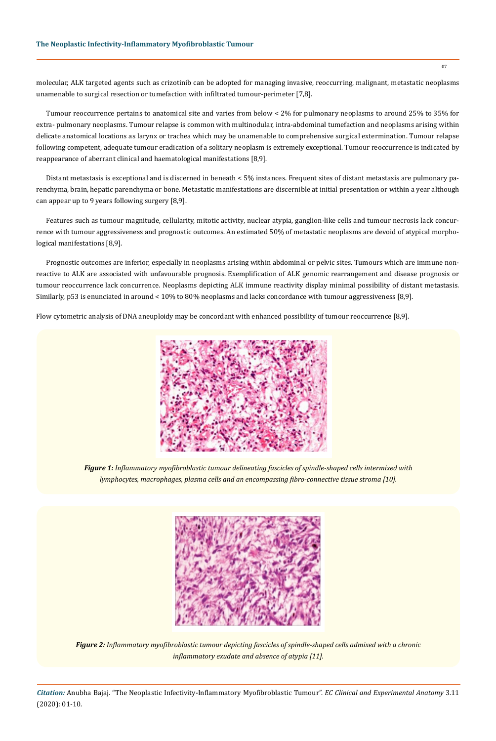molecular, ALK targeted agents such as crizotinib can be adopted for managing invasive, reoccurring, malignant, metastatic neoplasms unamenable to surgical resection or tumefaction with infiltrated tumour-perimeter [7,8].

Tumour reoccurrence pertains to anatomical site and varies from below < 2% for pulmonary neoplasms to around 25% to 35% for extra- pulmonary neoplasms. Tumour relapse is common with multinodular, intra-abdominal tumefaction and neoplasms arising within delicate anatomical locations as larynx or trachea which may be unamenable to comprehensive surgical extermination. Tumour relapse following competent, adequate tumour eradication of a solitary neoplasm is extremely exceptional. Tumour reoccurrence is indicated by reappearance of aberrant clinical and haematological manifestations [8,9].

Distant metastasis is exceptional and is discerned in beneath < 5% instances. Frequent sites of distant metastasis are pulmonary parenchyma, brain, hepatic parenchyma or bone. Metastatic manifestations are discernible at initial presentation or within a year although can appear up to 9 years following surgery [8,9].

Features such as tumour magnitude, cellularity, mitotic activity, nuclear atypia, ganglion-like cells and tumour necrosis lack concurrence with tumour aggressiveness and prognostic outcomes. An estimated 50% of metastatic neoplasms are devoid of atypical morphological manifestations [8,9].

Prognostic outcomes are inferior, especially in neoplasms arising within abdominal or pelvic sites. Tumours which are immune nonreactive to ALK are associated with unfavourable prognosis. Exemplification of ALK genomic rearrangement and disease prognosis or tumour reoccurrence lack concurrence. Neoplasms depicting ALK immune reactivity display minimal possibility of distant metastasis. Similarly, p53 is enunciated in around < 10% to 80% neoplasms and lacks concordance with tumour aggressiveness [8,9].

Flow cytometric analysis of DNA aneuploidy may be concordant with enhanced possibility of tumour reoccurrence [8,9].



*Figure 1: Inflammatory myofibroblastic tumour delineating fascicles of spindle-shaped cells intermixed with lymphocytes, macrophages, plasma cells and an encompassing fibro-connective tissue stroma [10].* 



*Figure 2: Inflammatory myofibroblastic tumour depicting fascicles of spindle-shaped cells admixed with a chronic inflammatory exudate and absence of atypia [11].* 

*Citation:* Anubha Bajaj. "The Neoplastic Infectivity-Inflammatory Myofibroblastic Tumour". *EC Clinical and Experimental Anatomy* 3.11 (2020): 01-10.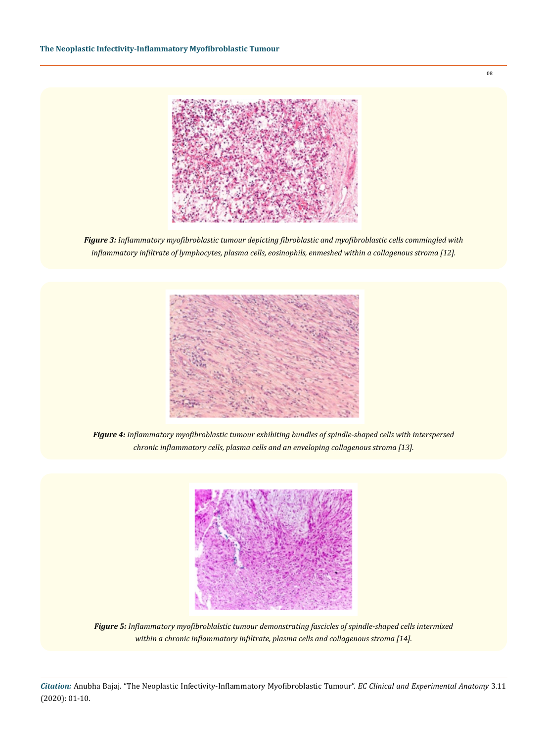

*Figure 3: Inflammatory myofibroblastic tumour depicting fibroblastic and myofibroblastic cells commingled with inflammatory infiltrate of lymphocytes, plasma cells, eosinophils, enmeshed within a collagenous stroma [12].* 



*Figure 4: Inflammatory myofibroblastic tumour exhibiting bundles of spindle-shaped cells with interspersed chronic inflammatory cells, plasma cells and an enveloping collagenous stroma [13].* 



*Figure 5: Inflammatory myofibroblalstic tumour demonstrating fascicles of spindle-shaped cells intermixed within a chronic inflammatory infiltrate, plasma cells and collagenous stroma [14].* 

*Citation:* Anubha Bajaj. "The Neoplastic Infectivity-Inflammatory Myofibroblastic Tumour". *EC Clinical and Experimental Anatomy* 3.11 (2020): 01-10.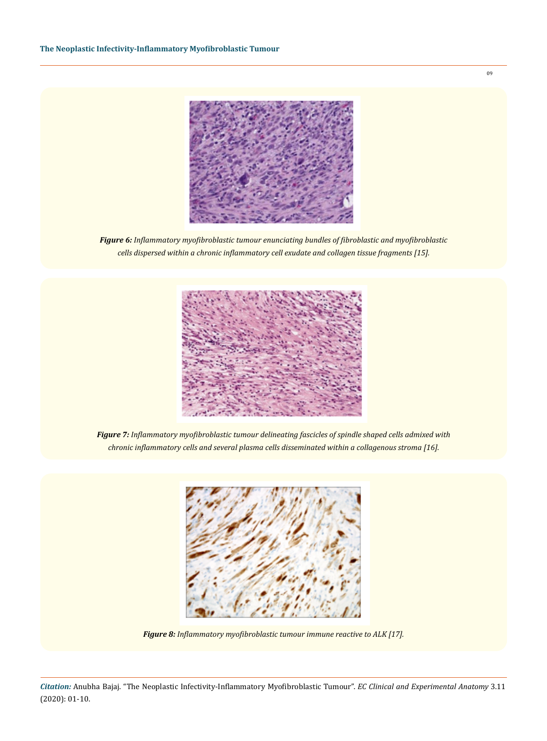

*Figure 6: Inflammatory myofibroblastic tumour enunciating bundles of fibroblastic and myofibroblastic cells dispersed within a chronic inflammatory cell exudate and collagen tissue fragments [15].* 



*Figure 7: Inflammatory myofibroblastic tumour delineating fascicles of spindle shaped cells admixed with chronic inflammatory cells and several plasma cells disseminated within a collagenous stroma [16].* 



*Figure 8: Inflammatory myofibroblastic tumour immune reactive to ALK [17].*